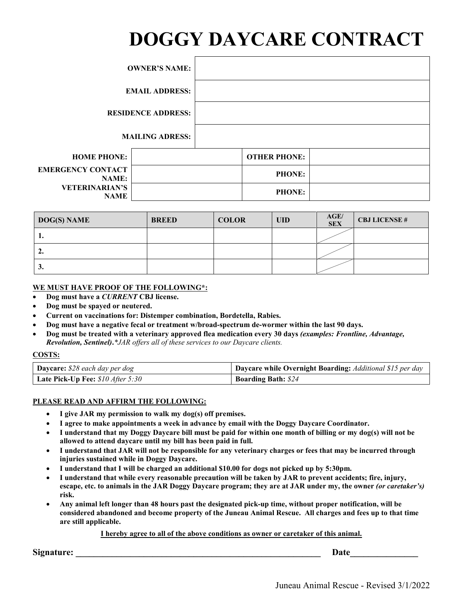# **DOGGY DAYCARE CONTRACT**

|                                          | <b>OWNER'S NAME:</b>      |                     |  |
|------------------------------------------|---------------------------|---------------------|--|
| <b>EMAIL ADDRESS:</b>                    |                           |                     |  |
|                                          | <b>RESIDENCE ADDRESS:</b> |                     |  |
|                                          | <b>MAILING ADRESS:</b>    |                     |  |
| <b>HOME PHONE:</b>                       |                           | <b>OTHER PHONE:</b> |  |
| <b>EMERGENCY CONTACT</b><br><b>NAME:</b> |                           | <b>PHONE:</b>       |  |
| <b>VETERINARIAN'S</b><br><b>NAME</b>     |                           | <b>PHONE:</b>       |  |

| <b>DOG(S) NAME</b> | <b>BREED</b> | <b>COLOR</b> | <b>UID</b> | AGE/<br><b>SEX</b> | <b>CBJ LICENSE#</b> |
|--------------------|--------------|--------------|------------|--------------------|---------------------|
| . .                |              |              |            |                    |                     |
| ٠.                 |              |              |            |                    |                     |
| J.                 |              |              |            |                    |                     |

#### **WE MUST HAVE PROOF OF THE FOLLOWING\*:**

- **Dog must have a** *CURRENT* **CBJ license.**
- **Dog must be spayed or neutered.**
- **Current on vaccinations for: Distemper combination, Bordetella, Rabies.**
- **Dog must have a negative fecal or treatment w/broad-spectrum de-wormer within the last 90 days.**
- **Dog must be treated with a veterinary approved flea medication every 30 days** *(examples: Frontline, Advantage, Revolution, Sentinel)***.***\*JAR offers all of these services to our Daycare clients.*

#### **COSTS:**

| <b>Daycare:</b> $$28$ each day per dog | Daycare while Overnight Boarding: Additional \$15 per day |
|----------------------------------------|-----------------------------------------------------------|
| Late Pick-Up Fee: $$10$ After 5:30     | <b>Boarding Bath: \$24</b>                                |

#### **PLEASE READ AND AFFIRM THE FOLLOWING:**

- **I give JAR my permission to walk my dog(s) off premises.**
- **I agree to make appointments a week in advance by email with the Doggy Daycare Coordinator.**
- **I understand that my Doggy Daycare bill must be paid for within one month of billing or my dog(s) will not be allowed to attend daycare until my bill has been paid in full.**
- **I understand that JAR will not be responsible for any veterinary charges or fees that may be incurred through injuries sustained while in Doggy Daycare.**
- **I understand that I will be charged an additional \$10.00 for dogs not picked up by 5:30pm.**
- **I understand that while every reasonable precaution will be taken by JAR to prevent accidents; fire, injury, escape, etc. to animals in the JAR Doggy Daycare program; they are at JAR under my, the owner** *(or caretaker's)*  **risk.**
- **Any animal left longer than 48 hours past the designated pick-up time, without proper notification, will be considered abandoned and become property of the Juneau Animal Rescue. All charges and fees up to that time are still applicable.**

#### **I hereby agree to all of the above conditions as owner or caretaker of this animal.**

**Signature:**  $\blacksquare$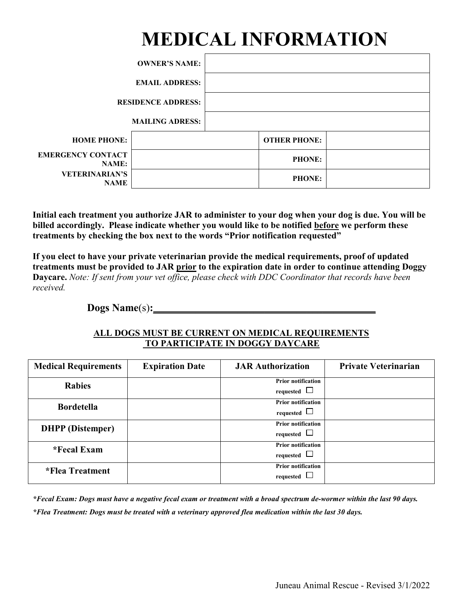## **MEDICAL INFORMATION**

|                                          | <b>OWNER'S NAME:</b>      |                     |  |
|------------------------------------------|---------------------------|---------------------|--|
| <b>EMAIL ADDRESS:</b>                    |                           |                     |  |
|                                          | <b>RESIDENCE ADDRESS:</b> |                     |  |
|                                          | <b>MAILING ADRESS:</b>    |                     |  |
| <b>HOME PHONE:</b>                       |                           | <b>OTHER PHONE:</b> |  |
| <b>EMERGENCY CONTACT</b><br><b>NAME:</b> |                           | <b>PHONE:</b>       |  |
| <b>VETERINARIAN'S</b><br><b>NAME</b>     |                           | <b>PHONE:</b>       |  |

**Initial each treatment you authorize JAR to administer to your dog when your dog is due. You will be billed accordingly. Please indicate whether you would like to be notified before we perform these treatments by checking the box next to the words "Prior notification requested"**

**If you elect to have your private veterinarian provide the medical requirements, proof of updated treatments must be provided to JAR prior to the expiration date in order to continue attending Doggy Daycare.** *Note: If sent from your vet office, please check with DDC Coordinator that records have been received.* 

**Dogs Name**(s)**:\_\_\_\_\_\_\_\_\_\_\_\_\_\_\_\_\_\_\_\_\_\_\_\_\_\_\_\_\_\_\_\_\_\_\_\_\_\_\_\_\_\_**

#### **ALL DOGS MUST BE CURRENT ON MEDICAL REQUIREMENTS TO PARTICIPATE IN DOGGY DAYCARE**

| <b>Medical Requirements</b> | <b>Expiration Date</b> | <b>JAR Authorization</b>                      | <b>Private Veterinarian</b> |
|-----------------------------|------------------------|-----------------------------------------------|-----------------------------|
| <b>Rabies</b>               |                        | <b>Prior notification</b><br>requested $\Box$ |                             |
| <b>Bordetella</b>           |                        | <b>Prior notification</b><br>requested $\Box$ |                             |
| <b>DHPP</b> (Distemper)     |                        | <b>Prior notification</b><br>requested $\Box$ |                             |
| *Fecal Exam                 |                        | <b>Prior notification</b><br>requested $\Box$ |                             |
| *Flea Treatment             |                        | <b>Prior notification</b><br>requested $\Box$ |                             |

*\*Fecal Exam: Dogs must have a negative fecal exam or treatment with a broad spectrum de-wormer within the last 90 days. \*Flea Treatment: Dogs must be treated with a veterinary approved flea medication within the last 30 days.*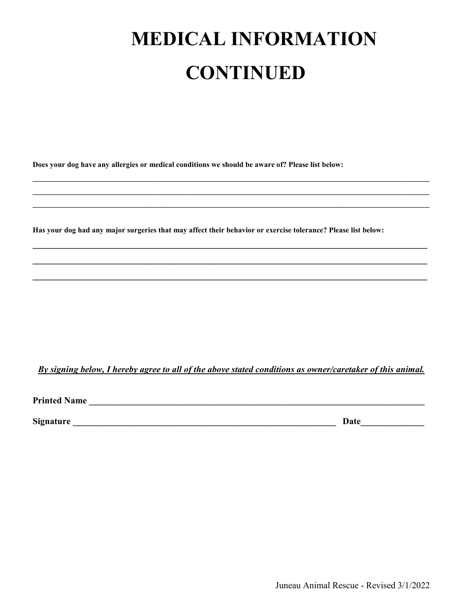# **MEDICAL INFORMATION CONTINUED**

**Does your dog have any allergies or medical conditions we should be aware of? Please list below:**

**Has your dog had any major surgeries that may affect their behavior or exercise tolerance? Please list below:**

**\_\_\_\_\_\_\_\_\_\_\_\_\_\_\_\_\_\_\_\_\_\_\_\_\_\_\_\_\_\_\_\_\_\_\_\_\_\_\_\_\_\_\_\_\_\_\_\_\_\_\_\_\_\_\_\_\_\_\_\_\_\_\_\_\_\_\_\_\_\_\_\_\_\_\_\_\_\_\_\_\_\_\_\_\_\_\_\_\_\_\_\_\_\_\_\_\_\_\_\_\_\_\_\_\_ \_\_\_\_\_\_\_\_\_\_\_\_\_\_\_\_\_\_\_\_\_\_\_\_\_\_\_\_\_\_\_\_\_\_\_\_\_\_\_\_\_\_\_\_\_\_\_\_\_\_\_\_\_\_\_\_\_\_\_\_\_\_\_\_\_\_\_\_\_\_\_\_\_\_\_\_\_\_\_\_\_\_\_\_\_\_\_\_\_\_\_\_\_\_\_\_\_\_\_\_\_\_\_\_\_ \_\_\_\_\_\_\_\_\_\_\_\_\_\_\_\_\_\_\_\_\_\_\_\_\_\_\_\_\_\_\_\_\_\_\_\_\_\_\_\_\_\_\_\_\_\_\_\_\_\_\_\_\_\_\_\_\_\_\_\_\_\_\_\_\_\_\_\_\_\_\_\_\_\_\_\_\_\_\_\_\_\_\_\_\_\_\_\_\_\_\_\_\_\_\_\_\_\_\_\_\_\_\_\_\_**

**\_\_\_\_\_\_\_\_\_\_\_\_\_\_\_\_\_\_\_\_\_\_\_\_\_\_\_\_\_\_\_\_\_\_\_\_\_\_\_\_\_\_\_\_\_\_\_\_\_\_\_\_\_\_\_\_\_\_\_\_\_\_\_\_\_\_\_\_\_\_\_\_\_\_\_\_\_\_\_\_\_\_\_\_\_\_\_**

**\_\_\_\_\_\_\_\_\_\_\_\_\_\_\_\_\_\_\_\_\_\_\_\_\_\_\_\_\_\_\_\_\_\_\_\_\_\_\_\_\_\_\_\_\_\_\_\_\_\_\_\_\_\_\_\_\_\_\_\_\_\_\_\_\_\_\_\_\_\_\_\_\_\_\_\_\_\_\_\_\_\_\_\_\_\_\_**

**\_\_\_\_\_\_\_\_\_\_\_\_\_\_\_\_\_\_\_\_\_\_\_\_\_\_\_\_\_\_\_\_\_\_\_\_\_\_\_\_\_\_\_\_\_\_\_\_\_\_\_\_\_\_\_\_\_\_\_\_\_\_\_\_\_\_\_\_\_\_\_\_\_\_\_\_\_\_\_\_\_\_\_\_\_\_\_**

*By signing below, I hereby agree to all of the above stated conditions as owner/caretaker of this animal.*

**Printed Name \_\_\_\_\_\_\_\_\_\_\_\_\_\_\_\_\_\_\_\_\_\_\_\_\_\_\_\_\_\_\_\_\_\_\_\_\_\_\_\_\_\_\_\_\_\_\_\_\_\_\_\_\_\_\_\_\_\_\_\_\_\_\_\_\_\_\_\_\_\_\_\_\_\_**

Signature **Later and Signature Later and Signature Date** 

Juneau Animal Rescue - Revised 3/1/2022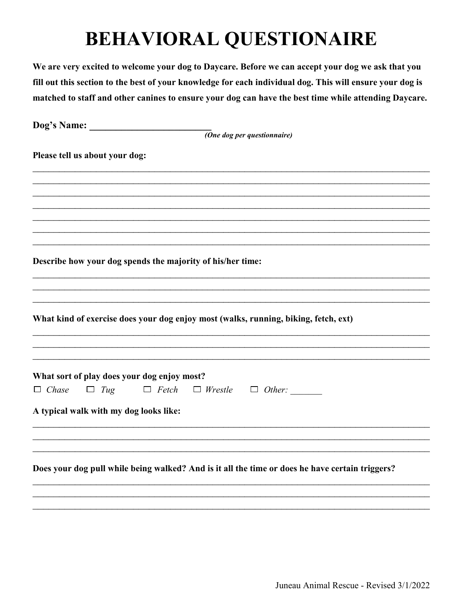We are very excited to welcome your dog to Daycare. Before we can accept your dog we ask that you fill out this section to the best of your knowledge for each individual dog. This will ensure your dog is matched to staff and other canines to ensure your dog can have the best time while attending Daycare.

| (One dog per questionnaire)                                                                     |
|-------------------------------------------------------------------------------------------------|
| Please tell us about your dog:                                                                  |
|                                                                                                 |
|                                                                                                 |
|                                                                                                 |
|                                                                                                 |
| Describe how your dog spends the majority of his/her time:                                      |
|                                                                                                 |
| What kind of exercise does your dog enjoy most (walks, running, biking, fetch, ext)             |
|                                                                                                 |
| What sort of play does your dog enjoy most?                                                     |
| $\Box$ Chase<br>$\Box$ Tug<br>$\Box$ Fetch<br>$\Box$ Wrestle $\Box$ Other:                      |
| A typical walk with my dog looks like:                                                          |
|                                                                                                 |
| Does your dog pull while being walked? And is it all the time or does he have certain triggers? |
|                                                                                                 |
|                                                                                                 |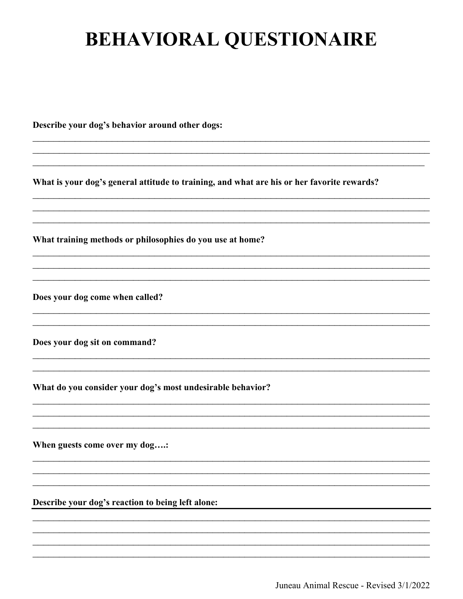Describe your dog's behavior around other dogs:

What is your dog's general attitude to training, and what are his or her favorite rewards?

What training methods or philosophies do you use at home?

Does your dog come when called?

Does your dog sit on command?

What do you consider your dog's most undesirable behavior?

When guests come over my dog....:

Describe your dog's reaction to being left alone:

Juneau Animal Rescue - Revised 3/1/2022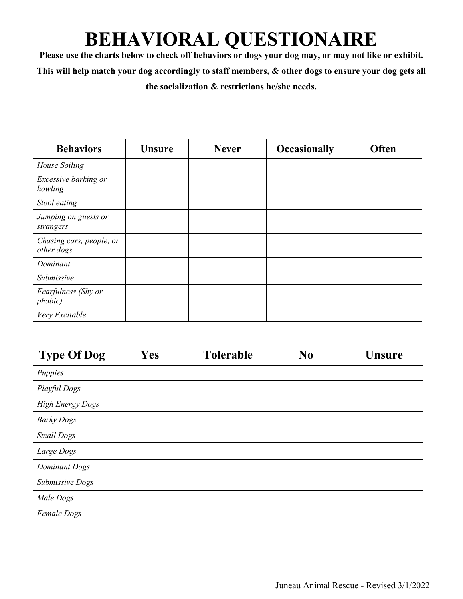**Please use the charts below to check off behaviors or dogs your dog may, or may not like or exhibit. This will help match your dog accordingly to staff members, & other dogs to ensure your dog gets all the socialization & restrictions he/she needs.**

| <b>Behaviors</b>                       | <b>Unsure</b> | <b>Never</b> | <b>Occasionally</b> | Often |
|----------------------------------------|---------------|--------------|---------------------|-------|
| House Soiling                          |               |              |                     |       |
| Excessive barking or<br>howling        |               |              |                     |       |
| Stool eating                           |               |              |                     |       |
| Jumping on guests or<br>strangers      |               |              |                     |       |
| Chasing cars, people, or<br>other dogs |               |              |                     |       |
| Dominant                               |               |              |                     |       |
| Submissive                             |               |              |                     |       |
| Fearfulness (Shy or<br>phobic)         |               |              |                     |       |
| Very Excitable                         |               |              |                     |       |

| <b>Type Of Dog</b>      | Yes | <b>Tolerable</b> | N <sub>0</sub> | <b>Unsure</b> |
|-------------------------|-----|------------------|----------------|---------------|
| Puppies                 |     |                  |                |               |
| Playful Dogs            |     |                  |                |               |
| <b>High Energy Dogs</b> |     |                  |                |               |
| <b>Barky Dogs</b>       |     |                  |                |               |
| <b>Small Dogs</b>       |     |                  |                |               |
| Large Dogs              |     |                  |                |               |
| <b>Dominant Dogs</b>    |     |                  |                |               |
| Submissive Dogs         |     |                  |                |               |
| Male Dogs               |     |                  |                |               |
| Female Dogs             |     |                  |                |               |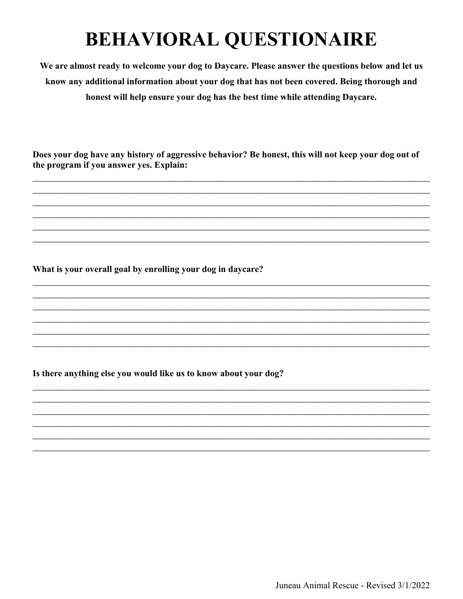We are almost ready to welcome your dog to Daycare. Please answer the questions below and let us know any additional information about your dog that has not been covered. Being thorough and honest will help ensure your dog has the best time while attending Daycare.

Does your dog have any history of aggressive behavior? Be honest, this will not keep your dog out of the program if you answer yes. Explain:

What is your overall goal by enrolling your dog in daycare?

Is there anything else you would like us to know about your dog?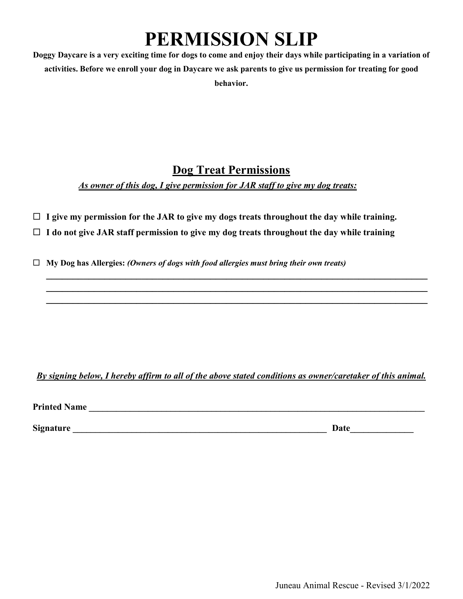### **PERMISSION SLIP**

**Doggy Daycare is a very exciting time for dogs to come and enjoy their days while participating in a variation of activities. Before we enroll your dog in Daycare we ask parents to give us permission for treating for good behavior.**

### **Dog Treat Permissions**

*As owner of this dog, I give permission for JAR staff to give my dog treats:*

- **I give my permission for the JAR to give my dogs treats throughout the day while training.**
- **I do not give JAR staff permission to give my dog treats throughout the day while training**
- **My Dog has Allergies:** *(Owners of dogs with food allergies must bring their own treats)*

*By signing below, I hereby affirm to all of the above stated conditions as owner/caretaker of this animal.*

**\_\_\_\_\_\_\_\_\_\_\_\_\_\_\_\_\_\_\_\_\_\_\_\_\_\_\_\_\_\_\_\_\_\_\_\_\_\_\_\_\_\_\_\_\_\_\_\_\_\_\_\_\_\_\_\_\_\_\_\_\_\_\_\_\_\_\_\_\_\_\_\_ \_\_\_\_\_\_\_\_\_\_\_\_\_\_\_\_\_\_\_\_\_\_\_\_\_\_\_\_\_\_\_\_\_\_\_\_\_\_\_\_\_\_\_\_\_\_\_\_\_\_\_\_\_\_\_\_\_\_\_\_\_\_\_\_\_\_\_\_\_\_\_\_ \_\_\_\_\_\_\_\_\_\_\_\_\_\_\_\_\_\_\_\_\_\_\_\_\_\_\_\_\_\_\_\_\_\_\_\_\_\_\_\_\_\_\_\_\_\_\_\_\_\_\_\_\_\_\_\_\_\_\_\_\_\_\_\_\_\_\_\_\_\_\_\_**

**Printed Name \_\_\_\_\_\_\_\_\_\_\_\_\_\_\_\_\_\_\_\_\_\_\_\_\_\_\_\_\_\_\_\_\_\_\_\_\_\_\_\_\_\_\_\_\_\_\_\_\_\_\_\_\_\_\_\_\_\_\_\_\_\_\_\_\_\_\_\_\_\_\_\_\_\_**

**Signature \_\_\_\_\_\_\_\_\_\_\_\_\_\_\_\_\_\_\_\_\_\_\_\_\_\_\_\_\_\_\_\_\_\_\_\_\_\_\_\_\_\_\_\_\_\_\_\_\_\_\_\_\_\_\_\_ Date\_\_\_\_\_\_\_\_\_\_\_\_\_\_**